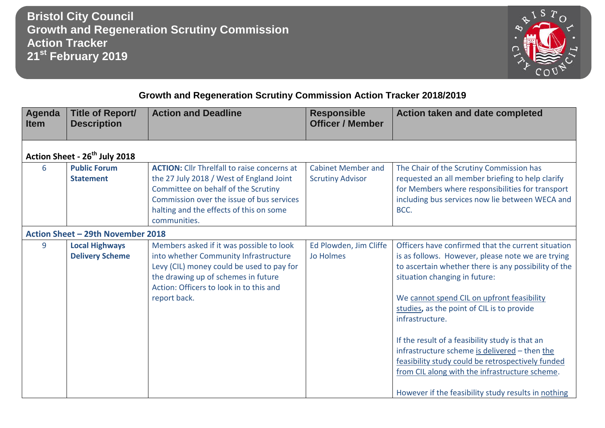**Bristol City Council Growth and Regeneration Scrutiny Commission Action Tracker 21st February 2019**



## **Growth and Regeneration Scrutiny Commission Action Tracker 2018/2019**

| Agenda<br><b>Item</b> | <b>Title of Report/</b><br><b>Description</b>   | <b>Action and Deadline</b>                                                                                                                                                                                                                    | <b>Responsible</b><br><b>Officer / Member</b>        | Action taken and date completed                                                                                                                                                                                                                                                                                                                                                                                                                                                                                                                                                   |  |  |
|-----------------------|-------------------------------------------------|-----------------------------------------------------------------------------------------------------------------------------------------------------------------------------------------------------------------------------------------------|------------------------------------------------------|-----------------------------------------------------------------------------------------------------------------------------------------------------------------------------------------------------------------------------------------------------------------------------------------------------------------------------------------------------------------------------------------------------------------------------------------------------------------------------------------------------------------------------------------------------------------------------------|--|--|
|                       | Action Sheet - 26 <sup>th</sup> July 2018       |                                                                                                                                                                                                                                               |                                                      |                                                                                                                                                                                                                                                                                                                                                                                                                                                                                                                                                                                   |  |  |
| 6                     | <b>Public Forum</b><br><b>Statement</b>         | <b>ACTION:</b> Cllr Threlfall to raise concerns at<br>the 27 July 2018 / West of England Joint<br>Committee on behalf of the Scrutiny<br>Commission over the issue of bus services<br>halting and the effects of this on some<br>communities. | <b>Cabinet Member and</b><br><b>Scrutiny Advisor</b> | The Chair of the Scrutiny Commission has<br>requested an all member briefing to help clarify<br>for Members where responsibilities for transport<br>including bus services now lie between WECA and<br>BCC.                                                                                                                                                                                                                                                                                                                                                                       |  |  |
|                       | Action Sheet - 29th November 2018               |                                                                                                                                                                                                                                               |                                                      |                                                                                                                                                                                                                                                                                                                                                                                                                                                                                                                                                                                   |  |  |
| 9                     | <b>Local Highways</b><br><b>Delivery Scheme</b> | Members asked if it was possible to look<br>into whether Community Infrastructure<br>Levy (CIL) money could be used to pay for<br>the drawing up of schemes in future<br>Action: Officers to look in to this and<br>report back.              | Ed Plowden, Jim Cliffe<br>Jo Holmes                  | Officers have confirmed that the current situation<br>is as follows. However, please note we are trying<br>to ascertain whether there is any possibility of the<br>situation changing in future:<br>We cannot spend CIL on upfront feasibility<br>studies, as the point of CIL is to provide<br>infrastructure.<br>If the result of a feasibility study is that an<br>infrastructure scheme is delivered - then the<br>feasibility study could be retrospectively funded<br>from CIL along with the infrastructure scheme.<br>However if the feasibility study results in nothing |  |  |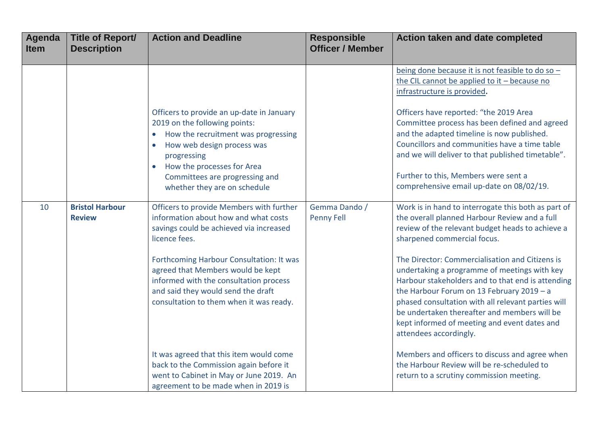| <b>Agenda</b><br><b>Item</b> | <b>Title of Report/</b><br><b>Description</b> | <b>Action and Deadline</b>                                                                                                                                                                                                                                                                                                                               | <b>Responsible</b><br><b>Officer / Member</b> | Action taken and date completed                                                                                                                                                                                                                                                                                                                                                                                                                                                                                                                                              |
|------------------------------|-----------------------------------------------|----------------------------------------------------------------------------------------------------------------------------------------------------------------------------------------------------------------------------------------------------------------------------------------------------------------------------------------------------------|-----------------------------------------------|------------------------------------------------------------------------------------------------------------------------------------------------------------------------------------------------------------------------------------------------------------------------------------------------------------------------------------------------------------------------------------------------------------------------------------------------------------------------------------------------------------------------------------------------------------------------------|
|                              |                                               | Officers to provide an up-date in January<br>2019 on the following points:<br>• How the recruitment was progressing<br>How web design process was<br>progressing<br>• How the processes for Area<br>Committees are progressing and<br>whether they are on schedule                                                                                       |                                               | being done because it is not feasible to do so -<br>the CIL cannot be applied to it - because no<br>infrastructure is provided.<br>Officers have reported: "the 2019 Area<br>Committee process has been defined and agreed<br>and the adapted timeline is now published.<br>Councillors and communities have a time table<br>and we will deliver to that published timetable".<br>Further to this, Members were sent a<br>comprehensive email up-date on 08/02/19.                                                                                                           |
| 10                           | <b>Bristol Harbour</b><br><b>Review</b>       | Officers to provide Members with further<br>information about how and what costs<br>savings could be achieved via increased<br>licence fees.<br>Forthcoming Harbour Consultation: It was<br>agreed that Members would be kept<br>informed with the consultation process<br>and said they would send the draft<br>consultation to them when it was ready. | Gemma Dando /<br><b>Penny Fell</b>            | Work is in hand to interrogate this both as part of<br>the overall planned Harbour Review and a full<br>review of the relevant budget heads to achieve a<br>sharpened commercial focus.<br>The Director: Commercialisation and Citizens is<br>undertaking a programme of meetings with key<br>Harbour stakeholders and to that end is attending<br>the Harbour Forum on 13 February 2019 - a<br>phased consultation with all relevant parties will<br>be undertaken thereafter and members will be<br>kept informed of meeting and event dates and<br>attendees accordingly. |
|                              |                                               | It was agreed that this item would come<br>back to the Commission again before it<br>went to Cabinet in May or June 2019. An<br>agreement to be made when in 2019 is                                                                                                                                                                                     |                                               | Members and officers to discuss and agree when<br>the Harbour Review will be re-scheduled to<br>return to a scrutiny commission meeting.                                                                                                                                                                                                                                                                                                                                                                                                                                     |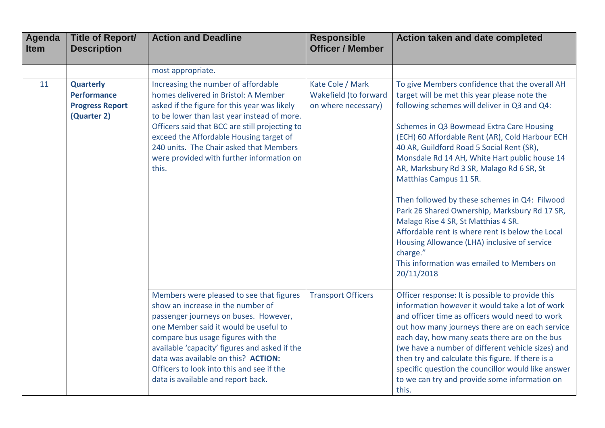| <b>Agenda</b><br><b>Item</b> | <b>Title of Report/</b><br><b>Description</b>                                   | <b>Action and Deadline</b>                                                                                                                                                                                                                                                                                                                                                       | <b>Responsible</b><br><b>Officer / Member</b>                    | Action taken and date completed                                                                                                                                                                                                                                                                                                                                                                                                                                                                                                                                                                                                                                                                                                         |
|------------------------------|---------------------------------------------------------------------------------|----------------------------------------------------------------------------------------------------------------------------------------------------------------------------------------------------------------------------------------------------------------------------------------------------------------------------------------------------------------------------------|------------------------------------------------------------------|-----------------------------------------------------------------------------------------------------------------------------------------------------------------------------------------------------------------------------------------------------------------------------------------------------------------------------------------------------------------------------------------------------------------------------------------------------------------------------------------------------------------------------------------------------------------------------------------------------------------------------------------------------------------------------------------------------------------------------------------|
|                              |                                                                                 | most appropriate.                                                                                                                                                                                                                                                                                                                                                                |                                                                  |                                                                                                                                                                                                                                                                                                                                                                                                                                                                                                                                                                                                                                                                                                                                         |
| 11                           | <b>Quarterly</b><br><b>Performance</b><br><b>Progress Report</b><br>(Quarter 2) | Increasing the number of affordable<br>homes delivered in Bristol: A Member<br>asked if the figure for this year was likely<br>to be lower than last year instead of more.<br>Officers said that BCC are still projecting to<br>exceed the Affordable Housing target of<br>240 units. The Chair asked that Members<br>were provided with further information on<br>this.         | Kate Cole / Mark<br>Wakefield (to forward<br>on where necessary) | To give Members confidence that the overall AH<br>target will be met this year please note the<br>following schemes will deliver in Q3 and Q4:<br>Schemes in Q3 Bowmead Extra Care Housing<br>(ECH) 60 Affordable Rent (AR), Cold Harbour ECH<br>40 AR, Guildford Road 5 Social Rent (SR),<br>Monsdale Rd 14 AH, White Hart public house 14<br>AR, Marksbury Rd 3 SR, Malago Rd 6 SR, St<br>Matthias Campus 11 SR.<br>Then followed by these schemes in Q4: Filwood<br>Park 26 Shared Ownership, Marksbury Rd 17 SR,<br>Malago Rise 4 SR, St Matthias 4 SR.<br>Affordable rent is where rent is below the Local<br>Housing Allowance (LHA) inclusive of service<br>charge."<br>This information was emailed to Members on<br>20/11/2018 |
|                              |                                                                                 | Members were pleased to see that figures<br>show an increase in the number of<br>passenger journeys on buses. However,<br>one Member said it would be useful to<br>compare bus usage figures with the<br>available 'capacity' figures and asked if the<br>data was available on this? ACTION:<br>Officers to look into this and see if the<br>data is available and report back. | <b>Transport Officers</b>                                        | Officer response: It is possible to provide this<br>information however it would take a lot of work<br>and officer time as officers would need to work<br>out how many journeys there are on each service<br>each day, how many seats there are on the bus<br>(we have a number of different vehicle sizes) and<br>then try and calculate this figure. If there is a<br>specific question the councillor would like answer<br>to we can try and provide some information on<br>this.                                                                                                                                                                                                                                                    |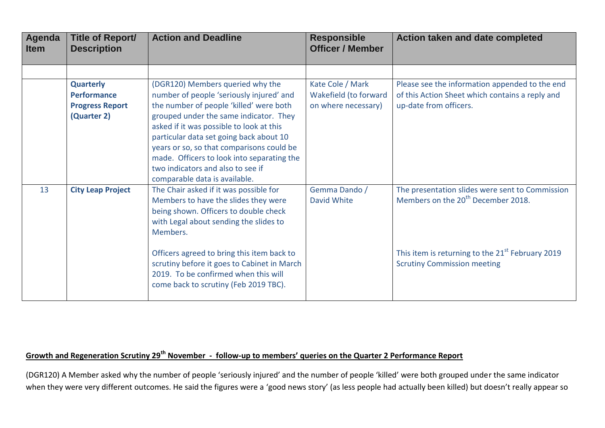| <b>Agenda</b><br><b>Item</b> | <b>Title of Report/</b><br><b>Description</b>                                   | <b>Action and Deadline</b>                                                                                                                                                                                                                                                                                                                                                               | <b>Responsible</b><br><b>Officer / Member</b>                    | Action taken and date completed                                                                                             |
|------------------------------|---------------------------------------------------------------------------------|------------------------------------------------------------------------------------------------------------------------------------------------------------------------------------------------------------------------------------------------------------------------------------------------------------------------------------------------------------------------------------------|------------------------------------------------------------------|-----------------------------------------------------------------------------------------------------------------------------|
|                              |                                                                                 |                                                                                                                                                                                                                                                                                                                                                                                          |                                                                  |                                                                                                                             |
|                              | <b>Quarterly</b><br><b>Performance</b><br><b>Progress Report</b><br>(Quarter 2) | (DGR120) Members queried why the<br>number of people 'seriously injured' and<br>the number of people 'killed' were both<br>grouped under the same indicator. They<br>asked if it was possible to look at this<br>particular data set going back about 10<br>years or so, so that comparisons could be<br>made. Officers to look into separating the<br>two indicators and also to see if | Kate Cole / Mark<br>Wakefield (to forward<br>on where necessary) | Please see the information appended to the end<br>of this Action Sheet which contains a reply and<br>up-date from officers. |
| 13                           | <b>City Leap Project</b>                                                        | comparable data is available.<br>The Chair asked if it was possible for<br>Members to have the slides they were<br>being shown. Officers to double check<br>with Legal about sending the slides to<br>Members.                                                                                                                                                                           | Gemma Dando /<br>David White                                     | The presentation slides were sent to Commission<br>Members on the 20 <sup>th</sup> December 2018.                           |
|                              |                                                                                 | Officers agreed to bring this item back to<br>scrutiny before it goes to Cabinet in March<br>2019. To be confirmed when this will<br>come back to scrutiny (Feb 2019 TBC).                                                                                                                                                                                                               |                                                                  | This item is returning to the 21 <sup>st</sup> February 2019<br><b>Scrutiny Commission meeting</b>                          |

## **Growth and Regeneration Scrutiny 29th November - follow-up to members' queries on the Quarter 2 Performance Report**

(DGR120) A Member asked why the number of people 'seriously injured' and the number of people 'killed' were both grouped under the same indicator when they were very different outcomes. He said the figures were a 'good news story' (as less people had actually been killed) but doesn't really appear so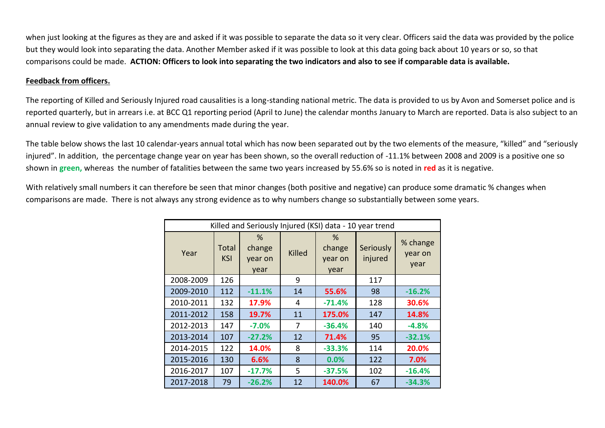when just looking at the figures as they are and asked if it was possible to separate the data so it very clear. Officers said the data was provided by the police but they would look into separating the data. Another Member asked if it was possible to look at this data going back about 10 years or so, so that comparisons could be made. **ACTION: Officers to look into separating the two indicators and also to see if comparable data is available.**

## **Feedback from officers.**

The reporting of Killed and Seriously Injured road causalities is a long-standing national metric. The data is provided to us by Avon and Somerset police and is reported quarterly, but in arrears i.e. at BCC Q1 reporting period (April to June) the calendar months January to March are reported. Data is also subject to an annual review to give validation to any amendments made during the year.

The table below shows the last 10 calendar-years annual total which has now been separated out by the two elements of the measure, "killed" and "seriously injured". In addition, the percentage change year on year has been shown, so the overall reduction of -11.1% between 2008 and 2009 is a positive one so shown in **green,** whereas the number of fatalities between the same two years increased by 55.6% so is noted in **red** as it is negative.

With relatively small numbers it can therefore be seen that minor changes (both positive and negative) can produce some dramatic % changes when comparisons are made. There is not always any strong evidence as to why numbers change so substantially between some years.

| Killed and Seriously Injured (KSI) data - 10 year trend |                     |                                |        |                                   |                      |                             |
|---------------------------------------------------------|---------------------|--------------------------------|--------|-----------------------------------|----------------------|-----------------------------|
| Year                                                    | Total<br><b>KSI</b> | %<br>change<br>year on<br>year | Killed | $\%$<br>change<br>year on<br>year | Seriously<br>injured | % change<br>year on<br>year |
| 2008-2009                                               | 126                 |                                | 9      |                                   | 117                  |                             |
| 2009-2010                                               | 112                 | $-11.1%$                       | 14     | 55.6%                             | 98                   | $-16.2%$                    |
| 2010-2011                                               | 132                 | 17.9%                          | 4      | $-71.4%$                          | 128                  | 30.6%                       |
| 2011-2012                                               | 158                 | 19.7%                          | 11     | 175.0%                            | 147                  | 14.8%                       |
| 2012-2013                                               | 147                 | $-7.0\%$                       | 7      | $-36.4%$                          | 140                  | $-4.8%$                     |
| 2013-2014                                               | 107                 | $-27.2%$                       | 12     | 71.4%                             | 95                   | $-32.1%$                    |
| 2014-2015                                               | 122                 | 14.0%                          | 8      | $-33.3%$                          | 114                  | 20.0%                       |
| 2015-2016                                               | 130                 | 6.6%                           | 8      | 0.0%                              | 122                  | 7.0%                        |
| 2016-2017                                               | 107                 | $-17.7%$                       | 5      | $-37.5%$                          | 102                  | $-16.4%$                    |
| 2017-2018                                               | 79                  | $-26.2%$                       | 12     | 140.0%                            | 67                   | $-34.3%$                    |